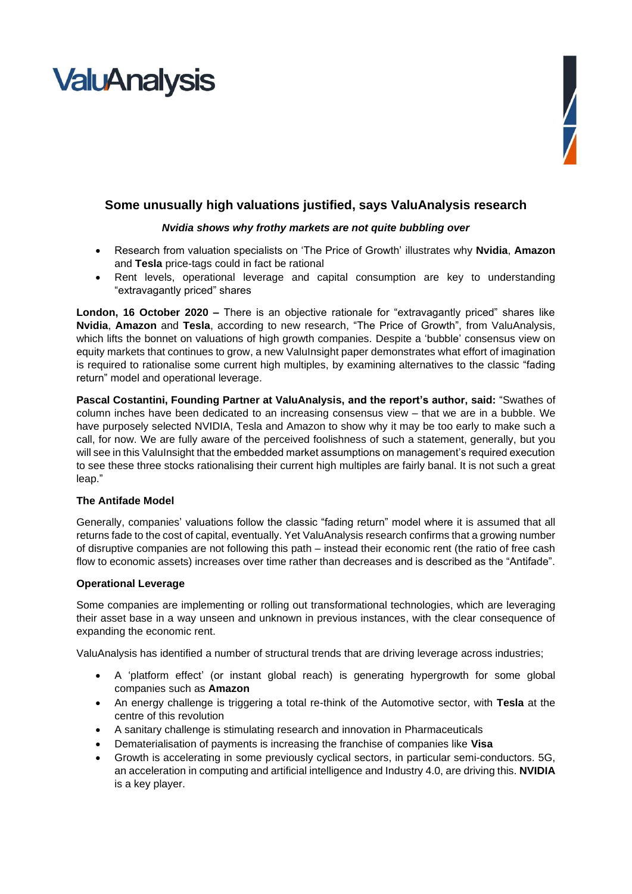# **ValuAnalysis**



### **Some unusually high valuations justified, says ValuAnalysis research**

#### *Nvidia shows why frothy markets are not quite bubbling over*

- Research from valuation specialists on 'The Price of Growth' illustrates why **Nvidia**, **Amazon** and **Tesla** price-tags could in fact be rational
- Rent levels, operational leverage and capital consumption are key to understanding "extravagantly priced" shares

**London, 16 October 2020 –** There is an objective rationale for "extravagantly priced" shares like **Nvidia**, **Amazon** and **Tesla**, according to new research, "The Price of Growth", from ValuAnalysis, which lifts the bonnet on valuations of high growth companies. Despite a 'bubble' consensus view on equity markets that continues to grow, a new ValuInsight paper demonstrates what effort of imagination is required to rationalise some current high multiples, by examining alternatives to the classic "fading return" model and operational leverage.

**Pascal Costantini, Founding Partner at ValuAnalysis, and the report's author, said:** "Swathes of column inches have been dedicated to an increasing consensus view – that we are in a bubble. We have purposely selected NVIDIA, Tesla and Amazon to show why it may be too early to make such a call, for now. We are fully aware of the perceived foolishness of such a statement, generally, but you will see in this ValuInsight that the embedded market assumptions on management's required execution to see these three stocks rationalising their current high multiples are fairly banal. It is not such a great leap."

#### **The Antifade Model**

Generally, companies' valuations follow the classic "fading return" model where it is assumed that all returns fade to the cost of capital, eventually. Yet ValuAnalysis research confirms that a growing number of disruptive companies are not following this path – instead their economic rent (the ratio of free cash flow to economic assets) increases over time rather than decreases and is described as the "Antifade".

#### **Operational Leverage**

Some companies are implementing or rolling out transformational technologies, which are leveraging their asset base in a way unseen and unknown in previous instances, with the clear consequence of expanding the economic rent.

ValuAnalysis has identified a number of structural trends that are driving leverage across industries;

- A 'platform effect' (or instant global reach) is generating hypergrowth for some global companies such as **Amazon**
- An energy challenge is triggering a total re-think of the Automotive sector, with **Tesla** at the centre of this revolution
- A sanitary challenge is stimulating research and innovation in Pharmaceuticals
- Dematerialisation of payments is increasing the franchise of companies like **Visa**
- Growth is accelerating in some previously cyclical sectors, in particular semi-conductors. 5G, an acceleration in computing and artificial intelligence and Industry 4.0, are driving this. **NVIDIA** is a key player.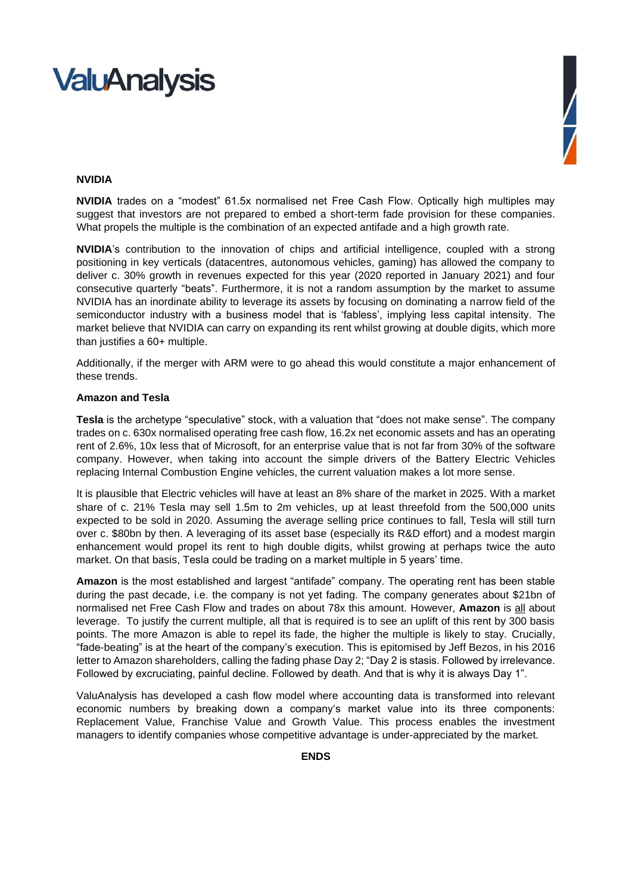### **ValuAnalysis**



#### **NVIDIA**

**NVIDIA** trades on a "modest" 61.5x normalised net Free Cash Flow. Optically high multiples may suggest that investors are not prepared to embed a short-term fade provision for these companies. What propels the multiple is the combination of an expected antifade and a high growth rate.

**NVIDIA**'s contribution to the innovation of chips and artificial intelligence, coupled with a strong positioning in key verticals (datacentres, autonomous vehicles, gaming) has allowed the company to deliver c. 30% growth in revenues expected for this year (2020 reported in January 2021) and four consecutive quarterly "beats". Furthermore, it is not a random assumption by the market to assume NVIDIA has an inordinate ability to leverage its assets by focusing on dominating a narrow field of the semiconductor industry with a business model that is 'fabless', implying less capital intensity. The market believe that NVIDIA can carry on expanding its rent whilst growing at double digits, which more than justifies a 60+ multiple.

Additionally, if the merger with ARM were to go ahead this would constitute a major enhancement of these trends.

#### **Amazon and Tesla**

**Tesla** is the archetype "speculative" stock, with a valuation that "does not make sense". The company trades on c. 630x normalised operating free cash flow, 16.2x net economic assets and has an operating rent of 2.6%, 10x less that of Microsoft, for an enterprise value that is not far from 30% of the software company. However, when taking into account the simple drivers of the Battery Electric Vehicles replacing Internal Combustion Engine vehicles, the current valuation makes a lot more sense.

It is plausible that Electric vehicles will have at least an 8% share of the market in 2025. With a market share of c. 21% Tesla may sell 1.5m to 2m vehicles, up at least threefold from the 500,000 units expected to be sold in 2020. Assuming the average selling price continues to fall, Tesla will still turn over c. \$80bn by then. A leveraging of its asset base (especially its R&D effort) and a modest margin enhancement would propel its rent to high double digits, whilst growing at perhaps twice the auto market. On that basis, Tesla could be trading on a market multiple in 5 years' time.

**Amazon** is the most established and largest "antifade" company. The operating rent has been stable during the past decade, i.e. the company is not yet fading. The company generates about \$21bn of normalised net Free Cash Flow and trades on about 78x this amount. However, **Amazon** is all about leverage. To justify the current multiple, all that is required is to see an uplift of this rent by 300 basis points. The more Amazon is able to repel its fade, the higher the multiple is likely to stay. Crucially, "fade-beating" is at the heart of the company's execution. This is epitomised by Jeff Bezos, in his 2016 letter to Amazon shareholders, calling the fading phase Day 2; "Day 2 is stasis. Followed by irrelevance. Followed by excruciating, painful decline. Followed by death. And that is why it is always Day 1".

ValuAnalysis has developed a cash flow model where accounting data is transformed into relevant economic numbers by breaking down a company's market value into its three components: Replacement Value, Franchise Value and Growth Value. This process enables the investment managers to identify companies whose competitive advantage is under-appreciated by the market.